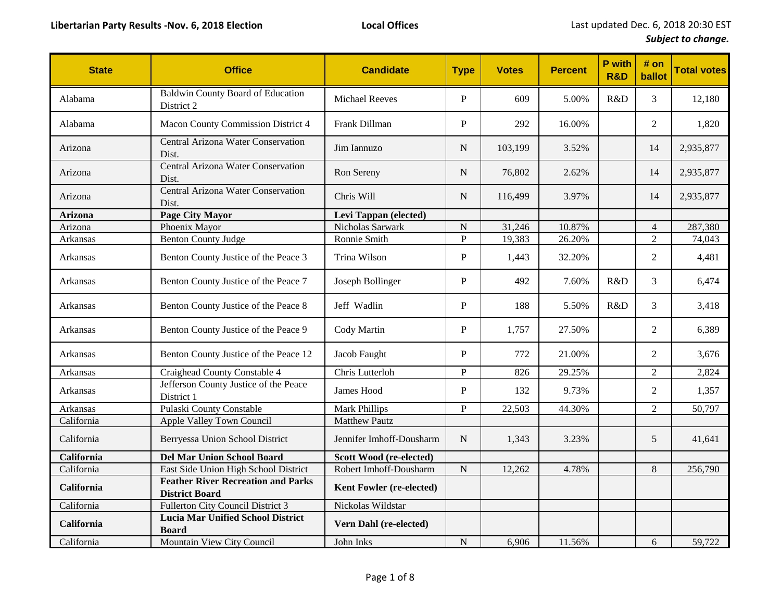| <b>State</b>   | <b>Office</b>                                                      | <b>Candidate</b>         | <b>Type</b>    | <b>Votes</b> | <b>Percent</b> | P with<br><b>R&amp;D</b> | # on<br>ballot | <b>Total votes</b> |
|----------------|--------------------------------------------------------------------|--------------------------|----------------|--------------|----------------|--------------------------|----------------|--------------------|
| Alabama        | <b>Baldwin County Board of Education</b><br>District 2             | <b>Michael Reeves</b>    | P              | 609          | 5.00%          | R&D                      | 3              | 12,180             |
| Alabama        | Macon County Commission District 4                                 | Frank Dillman            | $\mathbf{P}$   | 292          | 16.00%         |                          | 2              | 1,820              |
| Arizona        | Central Arizona Water Conservation<br>Dist.                        | Jim Iannuzo              | ${\bf N}$      | 103,199      | 3.52%          |                          | 14             | 2,935,877          |
| Arizona        | Central Arizona Water Conservation<br>Dist.                        | Ron Sereny               | ${\bf N}$      | 76,802       | 2.62%          |                          | 14             | 2,935,877          |
| Arizona        | Central Arizona Water Conservation<br>Dist.                        | Chris Will               | ${\bf N}$      | 116,499      | 3.97%          |                          | 14             | 2,935,877          |
| <b>Arizona</b> | <b>Page City Mayor</b>                                             | Levi Tappan (elected)    |                |              |                |                          |                |                    |
| Arizona        | Phoenix Mayor                                                      | Nicholas Sarwark         | $\overline{N}$ | 31,246       | 10.87%         |                          | $\overline{4}$ | 287,380            |
| Arkansas       | <b>Benton County Judge</b>                                         | Ronnie Smith             | $\overline{P}$ | 19,383       | $26.20\%$      |                          | $\overline{2}$ | 74,043             |
| Arkansas       | Benton County Justice of the Peace 3                               | Trina Wilson             | $\mathbf{P}$   | 1,443        | 32.20%         |                          | $\overline{2}$ | 4,481              |
| Arkansas       | Benton County Justice of the Peace 7                               | Joseph Bollinger         | ${\bf P}$      | 492          | 7.60%          | R&D                      | $\mathfrak{Z}$ | 6,474              |
| Arkansas       | Benton County Justice of the Peace 8                               | Jeff Wadlin              | ${\bf P}$      | 188          | 5.50%          | R&D                      | 3              | 3,418              |
| Arkansas       | Benton County Justice of the Peace 9                               | Cody Martin              | ${\bf P}$      | 1,757        | 27.50%         |                          | 2              | 6,389              |
| Arkansas       | Benton County Justice of the Peace 12                              | Jacob Faught             | $\mathbf{P}$   | 772          | 21.00%         |                          | $\overline{2}$ | 3,676              |
| Arkansas       | Craighead County Constable 4                                       | Chris Lutterloh          | $\mathbf P$    | 826          | 29.25%         |                          | $\overline{2}$ | 2,824              |
| Arkansas       | Jefferson County Justice of the Peace<br>District 1                | James Hood               | $\mathbf P$    | 132          | 9.73%          |                          | $\overline{2}$ | 1,357              |
| Arkansas       | Pulaski County Constable                                           | <b>Mark Phillips</b>     | P              | 22,503       | 44.30%         |                          | $\overline{2}$ | 50,797             |
| California     | Apple Valley Town Council                                          | <b>Matthew Pautz</b>     |                |              |                |                          |                |                    |
| California     | Berryessa Union School District                                    | Jennifer Imhoff-Dousharm | ${\bf N}$      | 1,343        | 3.23%          |                          | 5              | 41,641             |
| California     | <b>Del Mar Union School Board</b>                                  | Scott Wood (re-elected)  |                |              |                |                          |                |                    |
| California     | East Side Union High School District                               | Robert Imhoff-Dousharm   | ${\bf N}$      | 12,262       | 4.78%          |                          | 8              | 256,790            |
| California     | <b>Feather River Recreation and Parks</b><br><b>District Board</b> | Kent Fowler (re-elected) |                |              |                |                          |                |                    |
| California     | Fullerton City Council District 3                                  | Nickolas Wildstar        |                |              |                |                          |                |                    |
| California     | <b>Lucia Mar Unified School District</b><br><b>Board</b>           | Vern Dahl (re-elected)   |                |              |                |                          |                |                    |
| California     | Mountain View City Council                                         | John Inks                | ${\bf N}$      | 6,906        | 11.56%         |                          | 6              | 59,722             |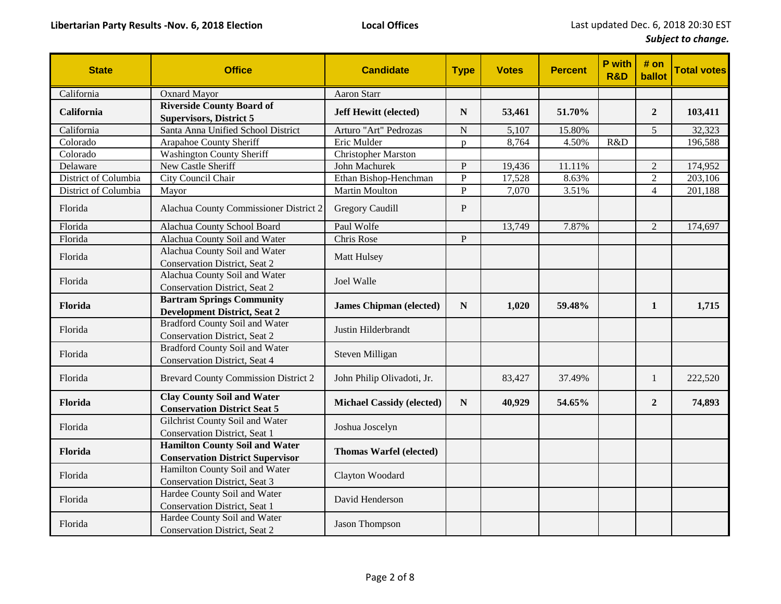| <b>State</b>         | <b>Office</b>                                                                    | <b>Candidate</b>                 | <b>Type</b>  | <b>Votes</b> | <b>Percent</b> | P with<br><b>R&amp;D</b> | # on<br>ballot | <b>Total votes</b> |
|----------------------|----------------------------------------------------------------------------------|----------------------------------|--------------|--------------|----------------|--------------------------|----------------|--------------------|
| California           | <b>Oxnard Mayor</b>                                                              | Aaron Starr                      |              |              |                |                          |                |                    |
| California           | <b>Riverside County Board of</b><br><b>Supervisors, District 5</b>               | <b>Jeff Hewitt (elected)</b>     | $\mathbf N$  | 53,461       | 51.70%         |                          | $\overline{2}$ | 103,411            |
| California           | Santa Anna Unified School District                                               | Arturo "Art" Pedrozas            | ${\bf N}$    | 5,107        | 15.80%         |                          | 5              | 32,323             |
| Colorado             | Arapahoe County Sheriff                                                          | Eric Mulder                      | $\mathbf{D}$ | 8,764        | 4.50%          | R&D                      |                | 196,588            |
| Colorado             | <b>Washington County Sheriff</b>                                                 | <b>Christopher Marston</b>       |              |              |                |                          |                |                    |
| Delaware             | New Castle Sheriff                                                               | John Machurek                    | $\mathbf{P}$ | 19,436       | 11.11%         |                          | $\overline{2}$ | 174,952            |
| District of Columbia | City Council Chair                                                               | Ethan Bishop-Henchman            | $\mathbf P$  | 17,528       | 8.63%          |                          | $\overline{2}$ | 203,106            |
| District of Columbia | Mayor                                                                            | Martin Moulton                   | $\mathbf P$  | 7,070        | 3.51%          |                          | $\overline{4}$ | 201,188            |
| Florida              | Alachua County Commissioner District 2                                           | <b>Gregory Caudill</b>           | $\mathbf P$  |              |                |                          |                |                    |
| Florida              | Alachua County School Board                                                      | Paul Wolfe                       |              | 13,749       | 7.87%          |                          | $\overline{2}$ | 174,697            |
| Florida              | Alachua County Soil and Water                                                    | Chris Rose                       | $\mathbf{P}$ |              |                |                          |                |                    |
| Florida              | Alachua County Soil and Water<br>Conservation District, Seat 2                   | Matt Hulsey                      |              |              |                |                          |                |                    |
| Florida              | Alachua County Soil and Water<br>Conservation District, Seat 2                   | Joel Walle                       |              |              |                |                          |                |                    |
| Florida              | <b>Bartram Springs Community</b><br><b>Development District, Seat 2</b>          | <b>James Chipman (elected)</b>   | ${\bf N}$    | 1,020        | 59.48%         |                          | $\mathbf{1}$   | 1,715              |
| Florida              | <b>Bradford County Soil and Water</b><br><b>Conservation District, Seat 2</b>    | Justin Hilderbrandt              |              |              |                |                          |                |                    |
| Florida              | <b>Bradford County Soil and Water</b><br><b>Conservation District, Seat 4</b>    | Steven Milligan                  |              |              |                |                          |                |                    |
| Florida              | <b>Brevard County Commission District 2</b>                                      | John Philip Olivadoti, Jr.       |              | 83,427       | 37.49%         |                          | 1              | 222,520            |
| Florida              | <b>Clay County Soil and Water</b><br><b>Conservation District Seat 5</b>         | <b>Michael Cassidy (elected)</b> | ${\bf N}$    | 40,929       | 54.65%         |                          | $\overline{2}$ | 74,893             |
| Florida              | Gilchrist County Soil and Water<br>Conservation District, Seat 1                 | Joshua Joscelyn                  |              |              |                |                          |                |                    |
| Florida              | <b>Hamilton County Soil and Water</b><br><b>Conservation District Supervisor</b> | <b>Thomas Warfel (elected)</b>   |              |              |                |                          |                |                    |
| Florida              | Hamilton County Soil and Water<br>Conservation District, Seat 3                  | Clayton Woodard                  |              |              |                |                          |                |                    |
| Florida              | Hardee County Soil and Water<br>Conservation District, Seat 1                    | David Henderson                  |              |              |                |                          |                |                    |
| Florida              | Hardee County Soil and Water<br><b>Conservation District, Seat 2</b>             | Jason Thompson                   |              |              |                |                          |                |                    |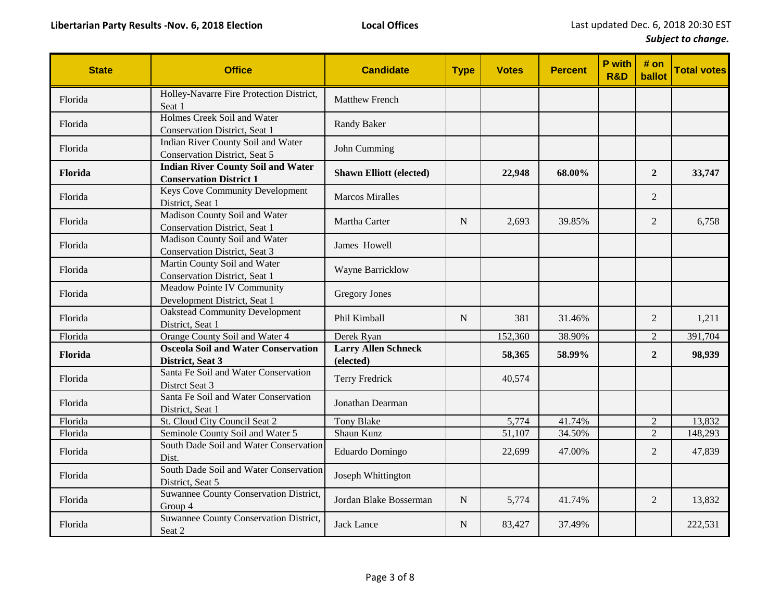| <b>State</b> | <b>Office</b>                                                               | <b>Candidate</b>                        | <b>Type</b> | <b>Votes</b> | <b>Percent</b> | P with<br><b>R&amp;D</b> | # on<br>ballot | <b>Total votes</b> |
|--------------|-----------------------------------------------------------------------------|-----------------------------------------|-------------|--------------|----------------|--------------------------|----------------|--------------------|
| Florida      | Holley-Navarre Fire Protection District,<br>Seat 1                          | <b>Matthew French</b>                   |             |              |                |                          |                |                    |
| Florida      | Holmes Creek Soil and Water<br><b>Conservation District</b> , Seat 1        | Randy Baker                             |             |              |                |                          |                |                    |
| Florida      | Indian River County Soil and Water<br><b>Conservation District, Seat 5</b>  | John Cumming                            |             |              |                |                          |                |                    |
| Florida      | <b>Indian River County Soil and Water</b><br><b>Conservation District 1</b> | <b>Shawn Elliott (elected)</b>          |             | 22,948       | 68.00%         |                          | $\overline{2}$ | 33,747             |
| Florida      | <b>Keys Cove Community Development</b><br>District, Seat 1                  | <b>Marcos Miralles</b>                  |             |              |                |                          | 2              |                    |
| Florida      | Madison County Soil and Water<br>Conservation District, Seat 1              | Martha Carter                           | N           | 2.693        | 39.85%         |                          | $\overline{2}$ | 6,758              |
| Florida      | Madison County Soil and Water<br>Conservation District, Seat 3              | James Howell                            |             |              |                |                          |                |                    |
| Florida      | Martin County Soil and Water<br>Conservation District, Seat 1               | Wayne Barricklow                        |             |              |                |                          |                |                    |
| Florida      | Meadow Pointe IV Community<br>Development District, Seat 1                  | <b>Gregory Jones</b>                    |             |              |                |                          |                |                    |
| Florida      | <b>Oakstead Community Development</b><br>District, Seat 1                   | Phil Kimball                            | N           | 381          | 31.46%         |                          | 2              | 1,211              |
| Florida      | Orange County Soil and Water 4                                              | Derek Ryan                              |             | 152,360      | 38.90%         |                          | $\mathfrak{2}$ | 391,704            |
| Florida      | <b>Osceola Soil and Water Conservation</b><br>District, Seat 3              | <b>Larry Allen Schneck</b><br>(elected) |             | 58,365       | 58.99%         |                          | $\overline{2}$ | 98,939             |
| Florida      | Santa Fe Soil and Water Conservation<br>Distrct Seat 3                      | Terry Fredrick                          |             | 40,574       |                |                          |                |                    |
| Florida      | Santa Fe Soil and Water Conservation<br>District, Seat 1                    | Jonathan Dearman                        |             |              |                |                          |                |                    |
| Florida      | St. Cloud City Council Seat 2                                               | Tony Blake                              |             | 5,774        | 41.74%         |                          | $\overline{2}$ | 13,832             |
| Florida      | Seminole County Soil and Water 5                                            | Shaun Kunz                              |             | 51,107       | 34.50%         |                          | $\overline{2}$ | 148,293            |
| Florida      | South Dade Soil and Water Conservation<br>Dist.                             | Eduardo Domingo                         |             | 22,699       | 47.00%         |                          | $\overline{2}$ | 47,839             |
| Florida      | South Dade Soil and Water Conservation<br>District, Seat 5                  | Joseph Whittington                      |             |              |                |                          |                |                    |
| Florida      | Suwannee County Conservation District,<br>Group 4                           | Jordan Blake Bosserman                  | ${\bf N}$   | 5,774        | 41.74%         |                          | 2              | 13,832             |
| Florida      | Suwannee County Conservation District,<br>Seat 2                            | Jack Lance                              | N           | 83,427       | 37.49%         |                          |                | 222,531            |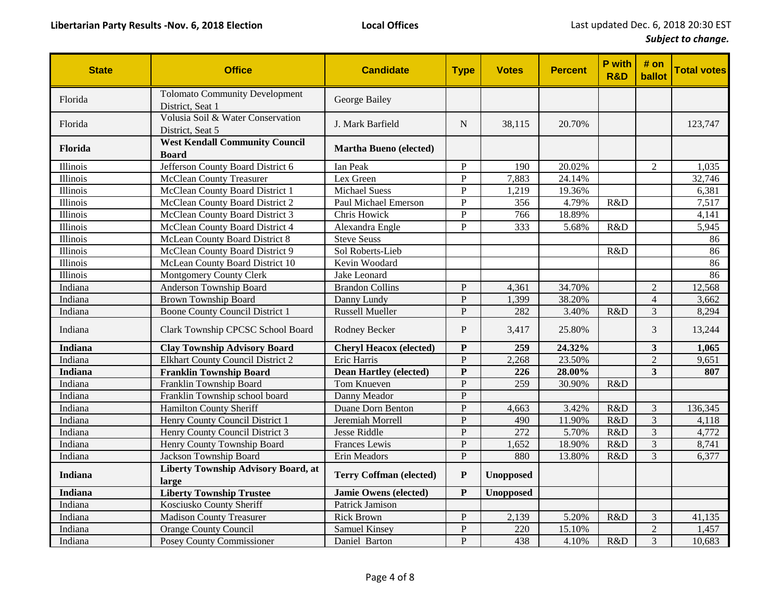| <b>State</b>    | <b>Office</b>                                             | <b>Candidate</b>               | <b>Type</b>    | <b>Votes</b>     | <b>Percent</b> | P with<br><b>R&amp;D</b> | # on<br>ballot          | <b>Total votes</b> |
|-----------------|-----------------------------------------------------------|--------------------------------|----------------|------------------|----------------|--------------------------|-------------------------|--------------------|
| Florida         | <b>Tolomato Community Development</b><br>District, Seat 1 | George Bailey                  |                |                  |                |                          |                         |                    |
| Florida         | Volusia Soil & Water Conservation<br>District, Seat 5     | J. Mark Barfield               | N              | 38,115           | 20.70%         |                          |                         | 123,747            |
| Florida         | <b>West Kendall Community Council</b><br><b>Board</b>     | <b>Martha Bueno (elected)</b>  |                |                  |                |                          |                         |                    |
| Illinois        | Jefferson County Board District 6                         | Ian Peak                       | P              | 190              | 20.02%         |                          | $\overline{2}$          | 1,035              |
| Illinois        | McClean County Treasurer                                  | Lex Green                      | ${\bf P}$      | 7,883            | 24.14%         |                          |                         | 32,746             |
| Illinois        | McClean County Board District 1                           | <b>Michael Suess</b>           | P              | 1,219            | 19.36%         |                          |                         | 6,381              |
| Illinois        | McClean County Board District 2                           | Paul Michael Emerson           | $\overline{P}$ | 356              | 4.79%          | R&D                      |                         | 7,517              |
| <i>Illinois</i> | McClean County Board District 3                           | Chris Howick                   | $\overline{P}$ | 766              | 18.89%         |                          |                         | 4,141              |
| Illinois        | McClean County Board District 4                           | Alexandra Engle                | P              | 333              | 5.68%          | R&D                      |                         | 5,945              |
| Illinois        | McLean County Board District 8                            | <b>Steve Seuss</b>             |                |                  |                |                          |                         | 86                 |
| Illinois        | McClean County Board District 9                           | Sol Roberts-Lieb               |                |                  |                | R&D                      |                         | 86                 |
| Illinois        | McLean County Board District 10                           | Kevin Woodard                  |                |                  |                |                          |                         | 86                 |
| Illinois        | <b>Montgomery County Clerk</b>                            | Jake Leonard                   |                |                  |                |                          |                         | 86                 |
| Indiana         | Anderson Township Board                                   | <b>Brandon Collins</b>         | $\mathbf{P}$   | 4,361            | 34.70%         |                          | $\overline{2}$          | 12,568             |
| Indiana         | Brown Township Board                                      | Danny Lundy                    | $\mathbf{P}$   | 1,399            | 38.20%         |                          | $\overline{4}$          | 3,662              |
| Indiana         | <b>Boone County Council District 1</b>                    | <b>Russell Mueller</b>         | $\mathbf{P}$   | 282              | 3.40%          | R&D                      | $\overline{3}$          | 8,294              |
| Indiana         | Clark Township CPCSC School Board                         | Rodney Becker                  | $\mathbf{P}$   | 3,417            | 25.80%         |                          | 3                       | 13,244             |
| <b>Indiana</b>  | <b>Clay Township Advisory Board</b>                       | <b>Cheryl Heacox (elected)</b> | ${\bf P}$      | 259              | 24.32%         |                          | $\overline{\mathbf{3}}$ | 1,065              |
| Indiana         | <b>Elkhart County Council District 2</b>                  | Eric Harris                    | $\mathbf{P}$   | 2,268            | 23.50%         |                          | $\overline{2}$          | 9,651              |
| <b>Indiana</b>  | <b>Franklin Township Board</b>                            | <b>Dean Hartley (elected)</b>  | ${\bf P}$      | 226              | 28.00%         |                          | $\overline{\mathbf{3}}$ | 807                |
| Indiana         | Franklin Township Board                                   | Tom Knueven                    | $\mathbf{P}$   | 259              | 30.90%         | R&D                      |                         |                    |
| Indiana         | Franklin Township school board                            | Danny Meador                   | $\mathbf{P}$   |                  |                |                          |                         |                    |
| Indiana         | <b>Hamilton County Sheriff</b>                            | Duane Dorn Benton              | $\mathbf{P}$   | 4,663            | 3.42%          | R&D                      | 3                       | 136,345            |
| Indiana         | Henry County Council District 1                           | Jeremiah Morrell               | $\mathbf{P}$   | 490              | 11.90%         | R&D                      | 3                       | 4,118              |
| Indiana         | Henry County Council District 3                           | Jesse Riddle                   | $\mathbf{P}$   | 272              | 5.70%          | R&D                      | 3                       | 4,772              |
| Indiana         | Henry County Township Board                               | Frances Lewis                  | ${\bf P}$      | 1,652            | 18.90%         | R&D                      | $\mathfrak{Z}$          | 8,741              |
| Indiana         | Jackson Township Board                                    | Erin Meadors                   | $\mathbf{P}$   | 880              | 13.80%         | R&D                      | 3                       | 6.377              |
| <b>Indiana</b>  | Liberty Township Advisory Board, at<br>large              | <b>Terry Coffman (elected)</b> | ${\bf P}$      | <b>Unopposed</b> |                |                          |                         |                    |
| <b>Indiana</b>  | <b>Liberty Township Trustee</b>                           | <b>Jamie Owens (elected)</b>   | ${\bf P}$      | <b>Unopposed</b> |                |                          |                         |                    |
| Indiana         | Kosciusko County Sheriff                                  | Patrick Jamison                |                |                  |                |                          |                         |                    |
| Indiana         | <b>Madison County Treasurer</b>                           | <b>Rick Brown</b>              | P              | 2,139            | 5.20%          | R&D                      | 3                       | 41,135             |
| Indiana         | <b>Orange County Council</b>                              | Samuel Kinsey                  | $\mathbf{P}$   | 220              | 15.10%         |                          | $\overline{2}$          | 1,457              |
| Indiana         | Posey County Commissioner                                 | Daniel Barton                  | $\mathbf{P}$   | 438              | 4.10%          | R&D                      | 3                       | 10,683             |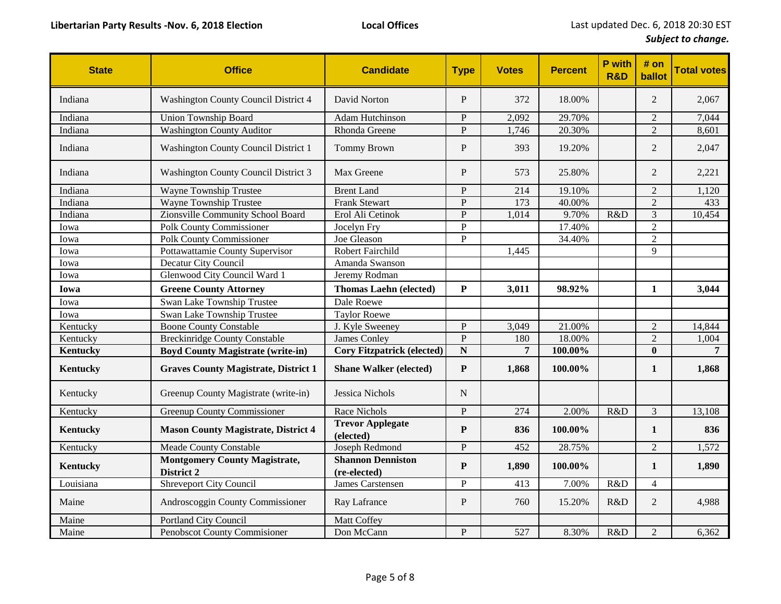| <b>State</b>    | <b>Office</b>                                      | <b>Candidate</b>                         | <b>Type</b>    | <b>Votes</b>   | <b>Percent</b> | P with<br><b>R&amp;D</b> | # on<br>ballot | <b>Total votes</b> |
|-----------------|----------------------------------------------------|------------------------------------------|----------------|----------------|----------------|--------------------------|----------------|--------------------|
| Indiana         | Washington County Council District 4               | David Norton                             | P              | 372            | 18.00%         |                          | $\overline{2}$ | 2,067              |
| Indiana         | <b>Union Township Board</b>                        | <b>Adam Hutchinson</b>                   | $\mathbf{P}$   | 2,092          | 29.70%         |                          | $\overline{2}$ | 7,044              |
| Indiana         | <b>Washington County Auditor</b>                   | Rhonda Greene                            | $\mathbf{P}$   | 1,746          | 20.30%         |                          | $\overline{2}$ | 8,601              |
| Indiana         | Washington County Council District 1               | <b>Tommy Brown</b>                       | $\mathbf{P}$   | 393            | 19.20%         |                          | $\mathfrak{2}$ | 2,047              |
| Indiana         | Washington County Council District 3               | Max Greene                               | $\mathbf P$    | 573            | 25.80%         |                          | 2              | 2,221              |
| Indiana         | Wayne Township Trustee                             | <b>Brent Land</b>                        | $\mathbf{P}$   | 214            | 19.10%         |                          | $\overline{2}$ | 1,120              |
| Indiana         | Wayne Township Trustee                             | <b>Frank Stewart</b>                     | $\overline{P}$ | 173            | 40.00%         |                          | $\overline{2}$ | 433                |
| Indiana         | Zionsville Community School Board                  | Erol Ali Cetinok                         | $\mathbf{P}$   | 1,014          | 9.70%          | R&D                      | 3              | 10,454             |
| Iowa            | <b>Polk County Commissioner</b>                    | Jocelyn Fry                              | $\overline{P}$ |                | 17.40%         |                          | $\overline{2}$ |                    |
| Iowa            | <b>Polk County Commissioner</b>                    | Joe Gleason                              | $\mathbf{P}$   |                | 34.40%         |                          | $\overline{2}$ |                    |
| Iowa            | Pottawattamie County Supervisor                    | Robert Fairchild                         |                | 1,445          |                |                          | $\mathbf{Q}$   |                    |
| Iowa            | Decatur City Council                               | Amanda Swanson                           |                |                |                |                          |                |                    |
| Iowa            | Glenwood City Council Ward 1                       | Jeremy Rodman                            |                |                |                |                          |                |                    |
| Iowa            | <b>Greene County Attorney</b>                      | <b>Thomas Laehn (elected)</b>            | ${\bf P}$      | 3,011          | 98.92%         |                          | $\mathbf{1}$   | 3,044              |
| Iowa            | Swan Lake Township Trustee                         | Dale Roewe                               |                |                |                |                          |                |                    |
| Iowa            | Swan Lake Township Trustee                         | <b>Taylor Roewe</b>                      |                |                |                |                          |                |                    |
| Kentucky        | <b>Boone County Constable</b>                      | J. Kyle Sweeney                          | $\mathbf{P}$   | 3,049          | 21.00%         |                          | $\overline{2}$ | 14,844             |
| Kentucky        | <b>Breckinridge County Constable</b>               | James Conley                             | $\overline{P}$ | 180            | 18.00%         |                          | $\sqrt{2}$     | 1,004              |
| Kentucky        | <b>Boyd County Magistrate (write-in)</b>           | <b>Cory Fitzpatrick (elected)</b>        | $\mathbf N$    | $\overline{7}$ | 100.00%        |                          | $\bf{0}$       | 7                  |
| <b>Kentucky</b> | <b>Graves County Magistrate, District 1</b>        | <b>Shane Walker (elected)</b>            | ${\bf P}$      | 1,868          | 100.00%        |                          | 1              | 1,868              |
| Kentucky        | Greenup County Magistrate (write-in)               | Jessica Nichols                          | $\mathbf N$    |                |                |                          |                |                    |
| Kentucky        | <b>Greenup County Commissioner</b>                 | <b>Race Nichols</b>                      | $\overline{P}$ | 274            | 2.00%          | R&D                      | 3              | 13,108             |
| <b>Kentucky</b> | <b>Mason County Magistrate, District 4</b>         | <b>Trevor Applegate</b><br>(elected)     | $\mathbf P$    | 836            | 100.00%        |                          | $\mathbf{1}$   | 836                |
| Kentucky        | <b>Meade County Constable</b>                      | Joseph Redmond                           | $\mathbf{P}$   | 452            | 28.75%         |                          | $\overline{2}$ | 1,572              |
| Kentucky        | <b>Montgomery County Magistrate,</b><br>District 2 | <b>Shannon Denniston</b><br>(re-elected) | P              | 1,890          | 100.00%        |                          | 1              | 1,890              |
| Louisiana       | <b>Shreveport City Council</b>                     | <b>James Carstensen</b>                  | $\mathbf{P}$   | 413            | 7.00%          | R&D                      | $\overline{4}$ |                    |
| Maine           | Androscoggin County Commissioner                   | Ray Lafrance                             | $\mathbf{P}$   | 760            | 15.20%         | R&D                      | $\overline{2}$ | 4,988              |
| Maine           | <b>Portland City Council</b>                       | Matt Coffey                              |                |                |                |                          |                |                    |
| Maine           | Penobscot County Commisioner                       | Don McCann                               | P              | 527            | 8.30%          | R&D                      | $\mathbf{2}$   | 6,362              |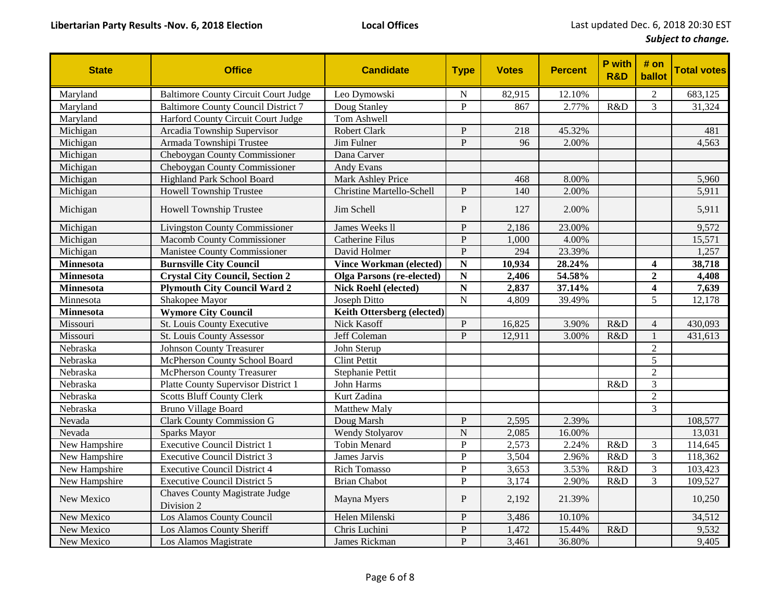| <b>State</b>     | <b>Office</b>                                       | <b>Candidate</b>                 | <b>Type</b>    | <b>Votes</b> | <b>Percent</b> | <b>P</b> with<br><b>R&amp;D</b> | # on<br>ballot          | <b>Total votes</b> |
|------------------|-----------------------------------------------------|----------------------------------|----------------|--------------|----------------|---------------------------------|-------------------------|--------------------|
| Maryland         | <b>Baltimore County Circuit Court Judge</b>         | Leo Dymowski                     | N              | 82,915       | 12.10%         |                                 | $\overline{2}$          | 683,125            |
| Maryland         | <b>Baltimore County Council District 7</b>          | Doug Stanley                     | $\overline{P}$ | 867          | 2.77%          | R&D                             | 3                       | 31,324             |
| Maryland         | Harford County Circuit Court Judge                  | Tom Ashwell                      |                |              |                |                                 |                         |                    |
| Michigan         | Arcadia Township Supervisor                         | <b>Robert Clark</b>              | P              | 218          | 45.32%         |                                 |                         | 481                |
| Michigan         | Armada Townshipi Trustee                            | Jim Fulner                       | $\mathbf{P}$   | 96           | 2.00%          |                                 |                         | 4,563              |
| Michigan         | Cheboygan County Commissioner                       | Dana Carver                      |                |              |                |                                 |                         |                    |
| Michigan         | Cheboygan County Commissioner                       | Andy Evans                       |                |              |                |                                 |                         |                    |
| Michigan         | Highland Park School Board                          | <b>Mark Ashley Price</b>         |                | 468          | 8.00%          |                                 |                         | 5,960              |
| Michigan         | <b>Howell Township Trustee</b>                      | <b>Christine Martello-Schell</b> | P              | 140          | 2.00%          |                                 |                         | 5,911              |
| Michigan         | Howell Township Trustee                             | Jim Schell                       | $\mathbf P$    | 127          | 2.00%          |                                 |                         | 5,911              |
| Michigan         | <b>Livingston County Commissioner</b>               | James Weeks ll                   | $\mathbf P$    | 2,186        | 23.00%         |                                 |                         | 9,572              |
| Michigan         | <b>Macomb County Commissioner</b>                   | <b>Catherine Filus</b>           | $\mathbf{P}$   | 1,000        | 4.00%          |                                 |                         | 15,571             |
| Michigan         | Manistee County Commissioner                        | David Holmer                     | $\mathbf{P}$   | 294          | 23.39%         |                                 |                         | 1,257              |
| <b>Minnesota</b> | <b>Burnsville City Council</b>                      | <b>Vince Workman (elected)</b>   | N              | 10,934       | 28.24%         |                                 | $\overline{\mathbf{4}}$ | 38,718             |
| Minnesota        | <b>Crystal City Council, Section 2</b>              | <b>Olga Parsons (re-elected)</b> | N              | 2,406        | 54.58%         |                                 | $\overline{2}$          | 4,408              |
| <b>Minnesota</b> | <b>Plymouth City Council Ward 2</b>                 | <b>Nick Roehl (elected)</b>      | $\mathbf N$    | 2,837        | 37.14%         |                                 | $\overline{\mathbf{4}}$ | 7,639              |
| Minnesota        | Shakopee Mayor                                      | Joseph Ditto                     | $\overline{N}$ | 4,809        | 39.49%         |                                 | 5                       | 12,178             |
| <b>Minnesota</b> | <b>Wymore City Council</b>                          | Keith Ottersberg (elected)       |                |              |                |                                 |                         |                    |
| Missouri         | St. Louis County Executive                          | Nick Kasoff                      | $\mathbf{P}$   | 16,825       | 3.90%          | R&D                             | $\overline{4}$          | 430,093            |
| Missouri         | St. Louis County Assessor                           | Jeff Coleman                     | $\mathbf{P}$   | 12,911       | 3.00%          | R&D                             | $\mathbf{1}$            | 431,613            |
| Nebraska         | <b>Johnson County Treasurer</b>                     | John Sterup                      |                |              |                |                                 | $\overline{2}$          |                    |
| Nebraska         | McPherson County School Board                       | <b>Clint Pettit</b>              |                |              |                |                                 | 5                       |                    |
| Nebraska         | <b>McPherson County Treasurer</b>                   | Stephanie Pettit                 |                |              |                |                                 | $\overline{2}$          |                    |
| Nebraska         | Platte County Supervisor District 1                 | John Harms                       |                |              |                | R&D                             | 3                       |                    |
| Nebraska         | <b>Scotts Bluff County Clerk</b>                    | Kurt Zadina                      |                |              |                |                                 | $\overline{2}$          |                    |
| Nebraska         | <b>Bruno Village Board</b>                          | Matthew Maly                     |                |              |                |                                 | 3                       |                    |
| Nevada           | <b>Clark County Commission G</b>                    | Doug Marsh                       | $\mathbf{P}$   | 2,595        | 2.39%          |                                 |                         | 108,577            |
| Nevada           | Sparks Mayor                                        | <b>Wendy Stolyarov</b>           | N              | 2,085        | 16.00%         |                                 |                         | 13,031             |
| New Hampshire    | <b>Executive Council District 1</b>                 | <b>Tobin Menard</b>              | $\mathbf{P}$   | 2,573        | 2.24%          | R&D                             | 3                       | 114,645            |
| New Hampshire    | <b>Executive Council District 3</b>                 | James Jarvis                     | $\overline{P}$ | 3,504        | 2.96%          | R&D                             | $\overline{3}$          | 118,362            |
| New Hampshire    | <b>Executive Council District 4</b>                 | <b>Rich Tomasso</b>              | $\overline{P}$ | 3,653        | 3.53%          | R&D                             | 3                       | 103,423            |
| New Hampshire    | <b>Executive Council District 5</b>                 | <b>Brian Chabot</b>              | $\overline{P}$ | 3,174        | 2.90%          | R&D                             | 3                       | 109,527            |
| New Mexico       | <b>Chaves County Magistrate Judge</b><br>Division 2 | Mayna Myers                      | $\mathbf P$    | 2,192        | 21.39%         |                                 |                         | 10,250             |
| New Mexico       | Los Alamos County Council                           | Helen Milenski                   | $\mathbf{P}$   | 3,486        | 10.10%         |                                 |                         | 34,512             |
| New Mexico       | Los Alamos County Sheriff                           | Chris Luchini                    | $\overline{P}$ | 1,472        | 15.44%         | R&D                             |                         | 9,532              |
| New Mexico       | Los Alamos Magistrate                               | James Rickman                    | $\mathbf{P}$   | 3,461        | 36.80%         |                                 |                         | 9,405              |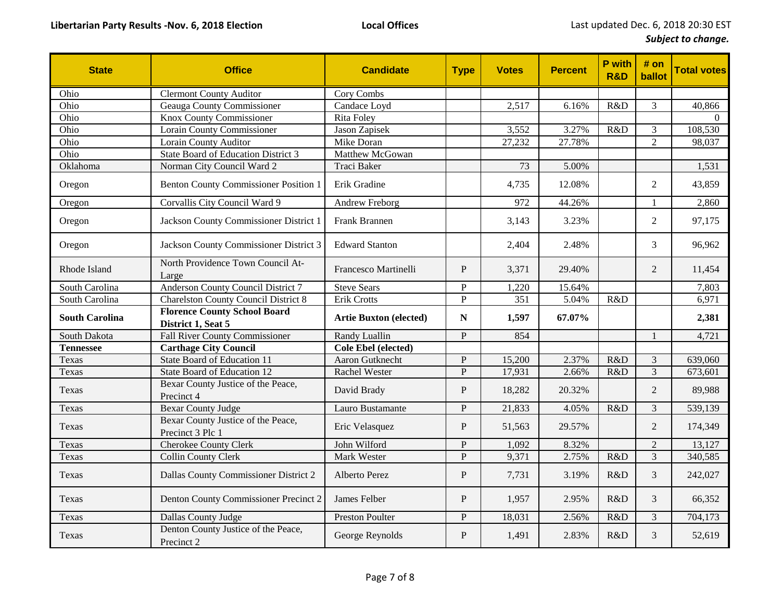| <b>State</b>          | <b>Office</b>                                             | <b>Candidate</b>              | <b>Type</b>    | <b>Votes</b> | <b>Percent</b> | P with<br><b>R&amp;D</b> | # on<br>ballot | <b>Total votes</b> |
|-----------------------|-----------------------------------------------------------|-------------------------------|----------------|--------------|----------------|--------------------------|----------------|--------------------|
| Ohio                  | <b>Clermont County Auditor</b>                            | Cory Combs                    |                |              |                |                          |                |                    |
| Ohio                  | Geauga County Commissioner                                | Candace Loyd                  |                | 2,517        | 6.16%          | R&D                      | 3              | 40,866             |
| Ohio                  | <b>Knox County Commissioner</b>                           | Rita Foley                    |                |              |                |                          |                | $\theta$           |
| Ohio                  | <b>Lorain County Commissioner</b>                         | Jason Zapisek                 |                | 3,552        | 3.27%          | R&D                      | $\mathfrak{Z}$ | 108,530            |
| Ohio                  | Lorain County Auditor                                     | Mike Doran                    |                | 27,232       | 27.78%         |                          | $\overline{2}$ | 98,037             |
| Ohio                  | State Board of Education District 3                       | Matthew McGowan               |                |              |                |                          |                |                    |
| Oklahoma              | Norman City Council Ward 2                                | Traci Baker                   |                | 73           | 5.00%          |                          |                | 1,531              |
| Oregon                | <b>Benton County Commissioner Position 1</b>              | Erik Gradine                  |                | 4,735        | 12.08%         |                          | $\overline{2}$ | 43,859             |
| Oregon                | Corvallis City Council Ward 9                             | Andrew Freborg                |                | 972          | 44.26%         |                          | $\mathbf{1}$   | 2,860              |
| Oregon                | Jackson County Commissioner District 1                    | Frank Brannen                 |                | 3,143        | 3.23%          |                          | $\overline{2}$ | 97,175             |
| Oregon                | Jackson County Commissioner District 3                    | <b>Edward Stanton</b>         |                | 2,404        | 2.48%          |                          | 3              | 96,962             |
| Rhode Island          | North Providence Town Council At-<br>Large                | <b>Francesco Martinelli</b>   | $\mathbf{P}$   | 3,371        | 29.40%         |                          | $\overline{2}$ | 11,454             |
| South Carolina        | Anderson County Council District 7                        | <b>Steve Sears</b>            | $\mathbf{P}$   | 1,220        | 15.64%         |                          |                | 7,803              |
| South Carolina        | <b>Charelston County Council District 8</b>               | Erik Crotts                   | $\overline{P}$ | 351          | 5.04%          | R&D                      |                | 6,971              |
| <b>South Carolina</b> | <b>Florence County School Board</b><br>District 1, Seat 5 | <b>Artie Buxton (elected)</b> | N              | 1,597        | 67.07%         |                          |                | 2,381              |
| South Dakota          | <b>Fall River County Commissioner</b>                     | Randy Luallin                 | P              | 854          |                |                          | $\mathbf{1}$   | 4,721              |
| <b>Tennessee</b>      | <b>Carthage City Council</b>                              | Cole Ebel (elected)           |                |              |                |                          |                |                    |
| Texas                 | State Board of Education 11                               | Aaron Gutknecht               | $\mathbf{P}$   | 15,200       | 2.37%          | R&D                      | $\mathfrak{Z}$ | 639,060            |
| Texas                 | State Board of Education 12                               | Rachel Wester                 | $\mathbf{P}$   | 17,931       | 2.66%          | R&D                      | 3              | 673,601            |
| Texas                 | Bexar County Justice of the Peace,<br>Precinct 4          | David Brady                   | $\mathbf{P}$   | 18,282       | 20.32%         |                          | $\overline{2}$ | 89,988             |
| Texas                 | <b>Bexar County Judge</b>                                 | Lauro Bustamante              | $\mathbf{P}$   | 21,833       | 4.05%          | R&D                      | 3              | 539,139            |
| Texas                 | Bexar County Justice of the Peace,<br>Precinct 3 Plc 1    | Eric Velasquez                | $\mathbf P$    | 51,563       | 29.57%         |                          | $\overline{2}$ | 174,349            |
| Texas                 | <b>Cherokee County Clerk</b>                              | John Wilford                  | $\mathbf P$    | 1,092        | 8.32%          |                          | $\overline{2}$ | 13,127             |
| Texas                 | Collin County Clerk                                       | Mark Wester                   | $\mathbf{P}$   | 9,371        | 2.75%          | R&D                      | $\mathfrak{Z}$ | 340,585            |
| Texas                 | Dallas County Commissioner District 2                     | <b>Alberto Perez</b>          | $\mathbf P$    | 7,731        | 3.19%          | R&D                      | $\mathfrak{Z}$ | 242,027            |
| Texas                 | Denton County Commissioner Precinct 2                     | James Felber                  | $\mathbf{P}$   | 1,957        | 2.95%          | R&D                      | 3              | 66,352             |
| Texas                 | Dallas County Judge                                       | <b>Preston Poulter</b>        | $\mathbf P$    | 18,031       | 2.56%          | R&D                      | $\mathfrak{Z}$ | 704,173            |
| Texas                 | Denton County Justice of the Peace,<br>Precinct 2         | George Reynolds               | $\mathbf P$    | 1,491        | 2.83%          | R&D                      | 3              | 52,619             |